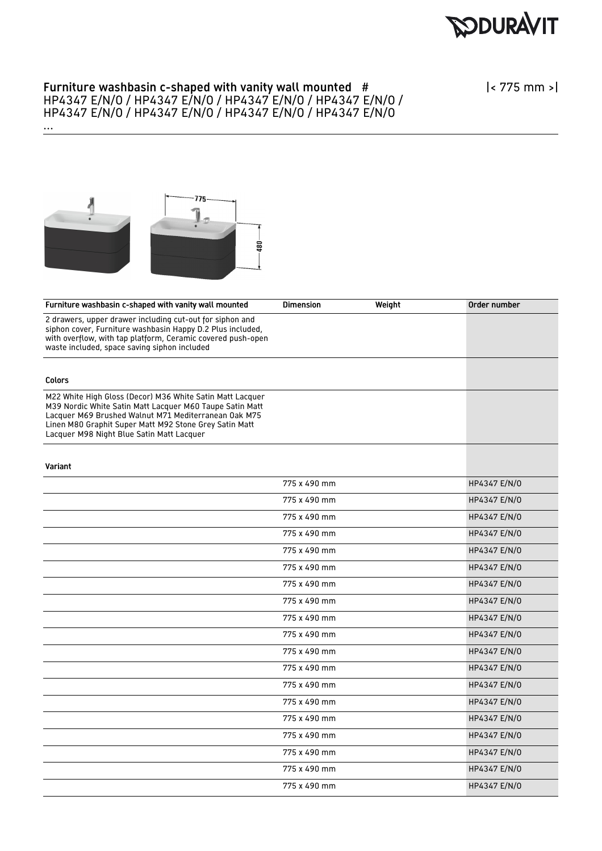**RODURAVIT** 

## Furniture washbasin c-shaped with vanity wall mounted # HP4347 E/N/O / HP4347 E/N/O / HP4347 E/N/O / HP4347 E/N/O / HP4347 E/N/O / HP4347 E/N/O / HP4347 E/N/O / HP4347 E/N/O

|< 775 mm >|



...

| Furniture washbasin c-shaped with vanity wall mounted                                                                                                                                                                                                                                | <b>Dimension</b> | Weight | Order number |
|--------------------------------------------------------------------------------------------------------------------------------------------------------------------------------------------------------------------------------------------------------------------------------------|------------------|--------|--------------|
| 2 drawers, upper drawer including cut-out for siphon and<br>siphon cover, Furniture washbasin Happy D.2 Plus included,<br>with overflow, with tap platform, Ceramic covered push-open<br>waste included, space saving siphon included                                                |                  |        |              |
| <b>Colors</b>                                                                                                                                                                                                                                                                        |                  |        |              |
| M22 White High Gloss (Decor) M36 White Satin Matt Lacquer<br>M39 Nordic White Satin Matt Lacquer M60 Taupe Satin Matt<br>Lacquer M69 Brushed Walnut M71 Mediterranean Oak M75<br>Linen M80 Graphit Super Matt M92 Stone Grey Satin Matt<br>Lacquer M98 Night Blue Satin Matt Lacquer |                  |        |              |
| Variant                                                                                                                                                                                                                                                                              |                  |        |              |
|                                                                                                                                                                                                                                                                                      | 775 x 490 mm     |        | HP4347 E/N/0 |
|                                                                                                                                                                                                                                                                                      | 775 x 490 mm     |        | HP4347 E/N/0 |
|                                                                                                                                                                                                                                                                                      | 775 x 490 mm     |        | HP4347 E/N/0 |
|                                                                                                                                                                                                                                                                                      | 775 x 490 mm     |        | HP4347 E/N/0 |
|                                                                                                                                                                                                                                                                                      | 775 x 490 mm     |        | HP4347 E/N/0 |
|                                                                                                                                                                                                                                                                                      | 775 x 490 mm     |        | HP4347 E/N/0 |
|                                                                                                                                                                                                                                                                                      | 775 x 490 mm     |        | HP4347 E/N/0 |
|                                                                                                                                                                                                                                                                                      | 775 x 490 mm     |        | HP4347 E/N/0 |
|                                                                                                                                                                                                                                                                                      | 775 x 490 mm     |        | HP4347 E/N/0 |
|                                                                                                                                                                                                                                                                                      | 775 x 490 mm     |        | HP4347 E/N/0 |
|                                                                                                                                                                                                                                                                                      | 775 x 490 mm     |        | HP4347 E/N/0 |
|                                                                                                                                                                                                                                                                                      | 775 x 490 mm     |        | HP4347 E/N/0 |
|                                                                                                                                                                                                                                                                                      | 775 x 490 mm     |        | HP4347 E/N/0 |
|                                                                                                                                                                                                                                                                                      | 775 x 490 mm     |        | HP4347 E/N/0 |
|                                                                                                                                                                                                                                                                                      | 775 x 490 mm     |        | HP4347 E/N/0 |
|                                                                                                                                                                                                                                                                                      | 775 x 490 mm     |        | HP4347 E/N/0 |
|                                                                                                                                                                                                                                                                                      | 775 x 490 mm     |        | HP4347 E/N/0 |
|                                                                                                                                                                                                                                                                                      | 775 x 490 mm     |        | HP4347 E/N/0 |
|                                                                                                                                                                                                                                                                                      | 775 x 490 mm     |        | HP4347 E/N/0 |